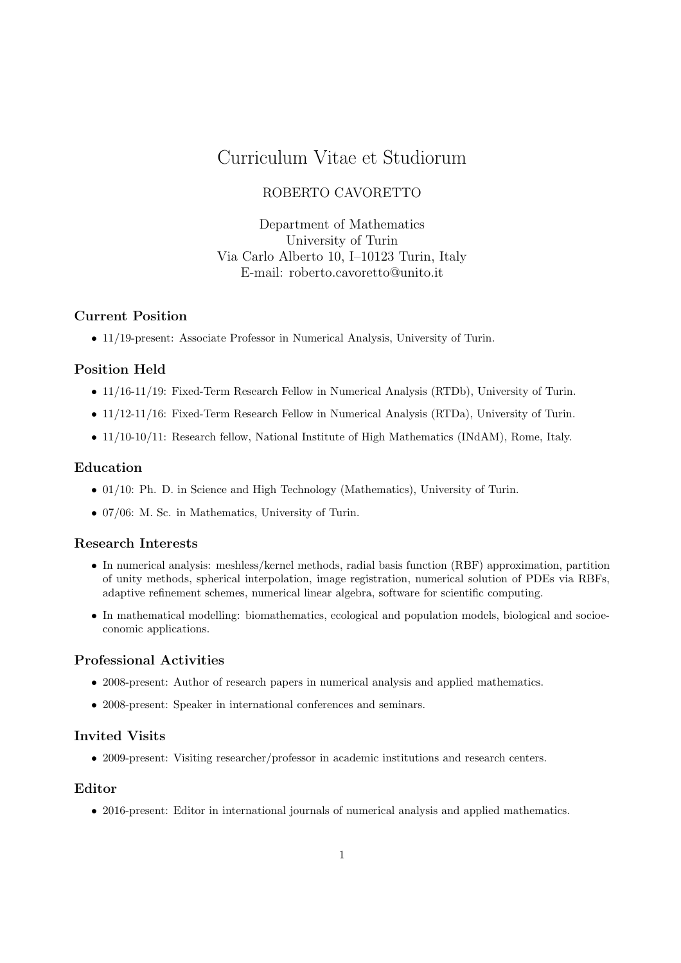# Curriculum Vitae et Studiorum

# ROBERTO CAVORETTO

Department of Mathematics University of Turin Via Carlo Alberto 10, I–10123 Turin, Italy E-mail: roberto.cavoretto@unito.it

### Current Position

• 11/19-present: Associate Professor in Numerical Analysis, University of Turin.

# Position Held

- 11/16-11/19: Fixed-Term Research Fellow in Numerical Analysis (RTDb), University of Turin.
- 11/12-11/16: Fixed-Term Research Fellow in Numerical Analysis (RTDa), University of Turin.
- 11/10-10/11: Research fellow, National Institute of High Mathematics (INdAM), Rome, Italy.

### Education

- 01/10: Ph. D. in Science and High Technology (Mathematics), University of Turin.
- 07/06: M. Sc. in Mathematics, University of Turin.

### Research Interests

- In numerical analysis: meshless/kernel methods, radial basis function (RBF) approximation, partition of unity methods, spherical interpolation, image registration, numerical solution of PDEs via RBFs, adaptive refinement schemes, numerical linear algebra, software for scientific computing.
- In mathematical modelling: biomathematics, ecological and population models, biological and socioeconomic applications.

#### Professional Activities

- 2008-present: Author of research papers in numerical analysis and applied mathematics.
- 2008-present: Speaker in international conferences and seminars.

# Invited Visits

• 2009-present: Visiting researcher/professor in academic institutions and research centers.

#### Editor

• 2016-present: Editor in international journals of numerical analysis and applied mathematics.